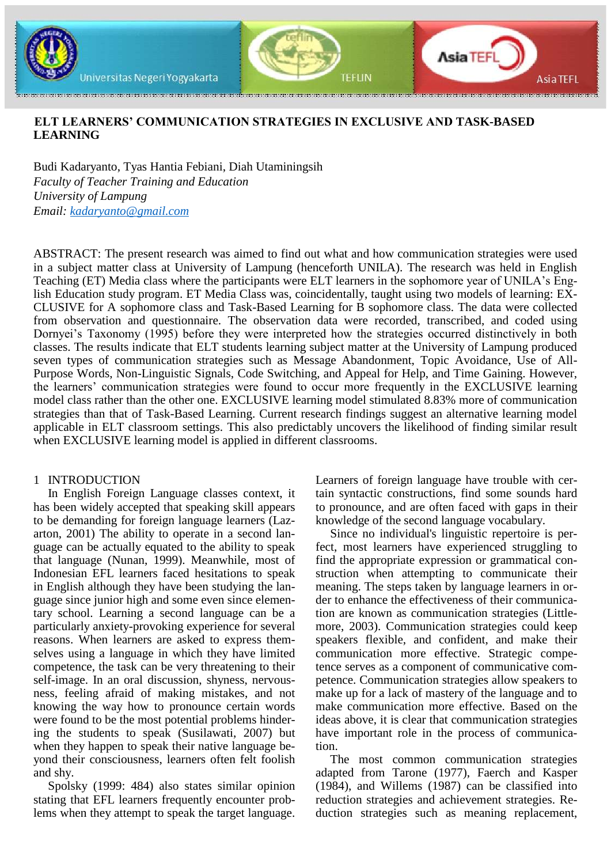

# **ELT LEARNERS' COMMUNICATION STRATEGIES IN EXCLUSIVE AND TASK-BASED LEARNING**

Budi Kadaryanto, Tyas Hantia Febiani, Diah Utaminingsih *Faculty of Teacher Training and Education University of Lampung Email: [kadaryanto@gmail.com](mailto:kadaryanto@gmail.com)*

ABSTRACT: The present research was aimed to find out what and how communication strategies were used in a subject matter class at University of Lampung (henceforth UNILA). The research was held in English Teaching (ET) Media class where the participants were ELT learners in the sophomore year of UNILA's English Education study program. ET Media Class was, coincidentally, taught using two models of learning: EX-CLUSIVE for A sophomore class and Task-Based Learning for B sophomore class. The data were collected from observation and questionnaire. The observation data were recorded, transcribed, and coded using Dornyei's Taxonomy (1995) before they were interpreted how the strategies occurred distinctively in both classes. The results indicate that ELT students learning subject matter at the University of Lampung produced seven types of communication strategies such as Message Abandonment, Topic Avoidance, Use of All-Purpose Words, Non-Linguistic Signals, Code Switching, and Appeal for Help, and Time Gaining. However, the learners' communication strategies were found to occur more frequently in the EXCLUSIVE learning model class rather than the other one. EXCLUSIVE learning model stimulated 8.83% more of communication strategies than that of Task-Based Learning. Current research findings suggest an alternative learning model applicable in ELT classroom settings. This also predictably uncovers the likelihood of finding similar result when EXCLUSIVE learning model is applied in different classrooms.

### 1 INTRODUCTION

In English Foreign Language classes context, it has been widely accepted that speaking skill appears to be demanding for foreign language learners (Lazarton, 2001) The ability to operate in a second language can be actually equated to the ability to speak that language (Nunan, 1999). Meanwhile, most of Indonesian EFL learners faced hesitations to speak in English although they have been studying the language since junior high and some even since elementary school. Learning a second language can be a particularly anxiety-provoking experience for several reasons. When learners are asked to express themselves using a language in which they have limited competence, the task can be very threatening to their self-image. In an oral discussion, shyness, nervousness, feeling afraid of making mistakes, and not knowing the way how to pronounce certain words were found to be the most potential problems hindering the students to speak (Susilawati, 2007) but when they happen to speak their native language beyond their consciousness, learners often felt foolish and shy.

Spolsky (1999: 484) also states similar opinion stating that EFL learners frequently encounter problems when they attempt to speak the target language. Learners of foreign language have trouble with certain syntactic constructions, find some sounds hard to pronounce, and are often faced with gaps in their knowledge of the second language vocabulary.

Since no individual's linguistic repertoire is perfect, most learners have experienced struggling to find the appropriate expression or grammatical construction when attempting to communicate their meaning. The steps taken by language learners in order to enhance the effectiveness of their communication are known as communication strategies (Littlemore, 2003). Communication strategies could keep speakers flexible, and confident, and make their communication more effective. Strategic competence serves as a component of communicative competence. Communication strategies allow speakers to make up for a lack of mastery of the language and to make communication more effective. Based on the ideas above, it is clear that communication strategies have important role in the process of communication.

The most common communication strategies adapted from Tarone (1977), Faerch and Kasper (1984), and Willems (1987) can be classified into reduction strategies and achievement strategies. Reduction strategies such as meaning replacement,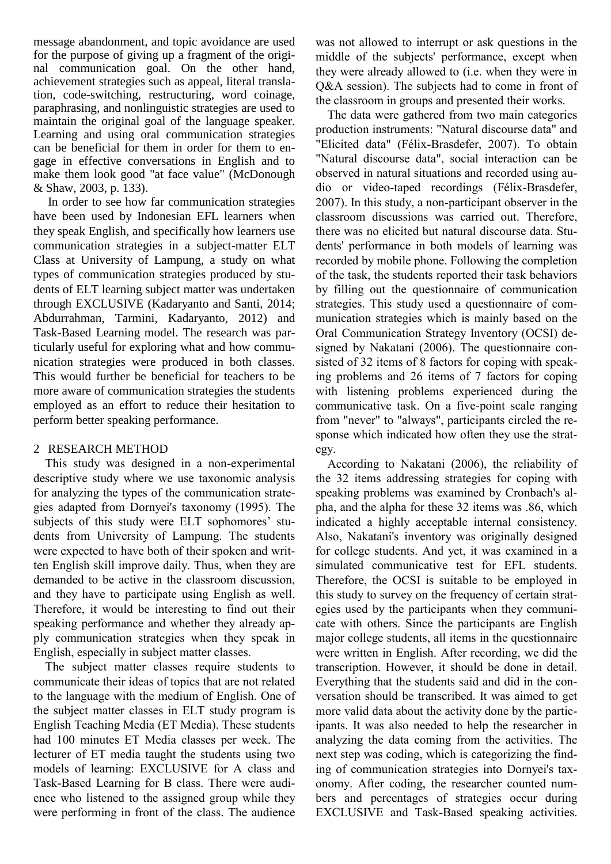message abandonment, and topic avoidance are used for the purpose of giving up a fragment of the original communication goal. On the other hand, achievement strategies such as appeal, literal translation, code-switching, restructuring, word coinage, paraphrasing, and nonlinguistic strategies are used to maintain the original goal of the language speaker. Learning and using oral communication strategies can be beneficial for them in order for them to engage in effective conversations in English and to make them look good "at face value" (McDonough & Shaw, 2003, p. 133).

In order to see how far communication strategies have been used by Indonesian EFL learners when they speak English, and specifically how learners use communication strategies in a subject-matter ELT Class at University of Lampung, a study on what types of communication strategies produced by students of ELT learning subject matter was undertaken through EXCLUSIVE (Kadaryanto and Santi, 2014; Abdurrahman, Tarmini, Kadaryanto, 2012) and Task-Based Learning model. The research was particularly useful for exploring what and how communication strategies were produced in both classes. This would further be beneficial for teachers to be more aware of communication strategies the students employed as an effort to reduce their hesitation to perform better speaking performance.

# 2 RESEARCH METHOD

This study was designed in a non-experimental descriptive study where we use taxonomic analysis for analyzing the types of the communication strategies adapted from Dornyei's taxonomy (1995). The subjects of this study were ELT sophomores' students from University of Lampung. The students were expected to have both of their spoken and written English skill improve daily. Thus, when they are demanded to be active in the classroom discussion, and they have to participate using English as well. Therefore, it would be interesting to find out their speaking performance and whether they already apply communication strategies when they speak in English, especially in subject matter classes.

The subject matter classes require students to communicate their ideas of topics that are not related to the language with the medium of English. One of the subject matter classes in ELT study program is English Teaching Media (ET Media). These students had 100 minutes ET Media classes per week. The lecturer of ET media taught the students using two models of learning: EXCLUSIVE for A class and Task-Based Learning for B class. There were audience who listened to the assigned group while they were performing in front of the class. The audience

was not allowed to interrupt or ask questions in the middle of the subjects' performance, except when they were already allowed to (i.e. when they were in Q&A session). The subjects had to come in front of the classroom in groups and presented their works.

The data were gathered from two main categories production instruments: "Natural discourse data" and "Elicited data" (Félix-Brasdefer, 2007). To obtain "Natural discourse data", social interaction can be observed in natural situations and recorded using audio or video-taped recordings (Félix-Brasdefer, 2007). In this study, a non-participant observer in the classroom discussions was carried out. Therefore, there was no elicited but natural discourse data. Students' performance in both models of learning was recorded by mobile phone. Following the completion of the task, the students reported their task behaviors by filling out the questionnaire of communication strategies. This study used a questionnaire of communication strategies which is mainly based on the Oral Communication Strategy Inventory (OCSI) designed by Nakatani (2006). The questionnaire consisted of 32 items of 8 factors for coping with speaking problems and 26 items of 7 factors for coping with listening problems experienced during the communicative task. On a five-point scale ranging from "never" to "always", participants circled the response which indicated how often they use the strategy.

According to Nakatani (2006), the reliability of the 32 items addressing strategies for coping with speaking problems was examined by Cronbach's alpha, and the alpha for these 32 items was .86, which indicated a highly acceptable internal consistency. Also, Nakatani's inventory was originally designed for college students. And yet, it was examined in a simulated communicative test for EFL students. Therefore, the OCSI is suitable to be employed in this study to survey on the frequency of certain strategies used by the participants when they communicate with others. Since the participants are English major college students, all items in the questionnaire were written in English. After recording, we did the transcription. However, it should be done in detail. Everything that the students said and did in the conversation should be transcribed. It was aimed to get more valid data about the activity done by the participants. It was also needed to help the researcher in analyzing the data coming from the activities. The next step was coding, which is categorizing the finding of communication strategies into Dornyei's taxonomy. After coding, the researcher counted numbers and percentages of strategies occur during EXCLUSIVE and Task-Based speaking activities.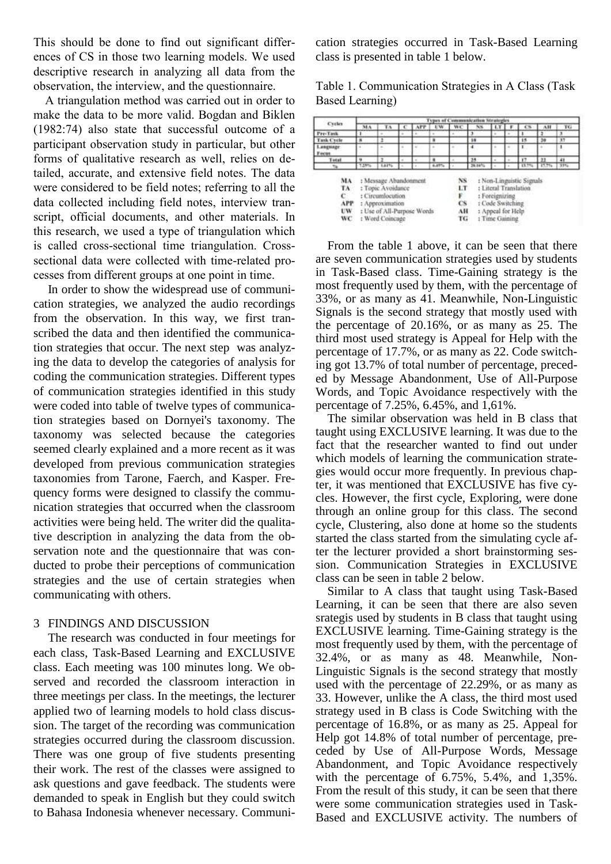This should be done to find out significant differences of CS in those two learning models. We used descriptive research in analyzing all data from the observation, the interview, and the questionnaire.

A triangulation method was carried out in order to make the data to be more valid. Bogdan and Biklen (1982:74) also state that successful outcome of a participant observation study in particular, but other forms of qualitative research as well, relies on detailed, accurate, and extensive field notes. The data were considered to be field notes; referring to all the data collected including field notes, interview transcript, official documents, and other materials. In this research, we used a type of triangulation which is called cross-sectional time triangulation. Crosssectional data were collected with time-related processes from different groups at one point in time.

In order to show the widespread use of communication strategies, we analyzed the audio recordings from the observation. In this way, we first transcribed the data and then identified the communication strategies that occur. The next step was analyzing the data to develop the categories of analysis for coding the communication strategies. Different types of communication strategies identified in this study were coded into table of twelve types of communication strategies based on Dornyei's taxonomy. The taxonomy was selected because the categories seemed clearly explained and a more recent as it was developed from previous communication strategies taxonomies from Tarone, Faerch, and Kasper. Frequency forms were designed to classify the communication strategies that occurred when the classroom activities were being held. The writer did the qualitative description in analyzing the data from the observation note and the questionnaire that was conducted to probe their perceptions of communication strategies and the use of certain strategies when communicating with others.

#### 3 FINDINGS AND DISCUSSION

The research was conducted in four meetings for each class, Task-Based Learning and EXCLUSIVE class. Each meeting was 100 minutes long. We observed and recorded the classroom interaction in three meetings per class. In the meetings, the lecturer applied two of learning models to hold class discussion. The target of the recording was communication strategies occurred during the classroom discussion. There was one group of five students presenting their work. The rest of the classes were assigned to ask questions and gave feedback. The students were demanded to speak in English but they could switch to Bahasa Indonesia whenever necessary. Communication strategies occurred in Task-Based Learning class is presented in table 1 below.

Table 1. Communication Strategies in A Class (Task Based Learning)

| Cycles                             | ummunkcatkon Strategies<br>Турский |                                                                                                                 |   |                      |                                                                                                                                                              |    |        |  |  |       |         |     |
|------------------------------------|------------------------------------|-----------------------------------------------------------------------------------------------------------------|---|----------------------|--------------------------------------------------------------------------------------------------------------------------------------------------------------|----|--------|--|--|-------|---------|-----|
|                                    | 34.6                               |                                                                                                                 |   |                      |                                                                                                                                                              | W٤ | NS.    |  |  |       |         | TG  |
| Pre-Task                           |                                    |                                                                                                                 | ٠ |                      |                                                                                                                                                              |    |        |  |  |       |         | л   |
| <b>Task Cycle</b>                  |                                    |                                                                                                                 |   |                      | ٠                                                                                                                                                            |    | 18     |  |  | 15    | 20      | X   |
| Language<br><b>Focus</b>           |                                    |                                                                                                                 |   |                      |                                                                                                                                                              |    |        |  |  |       |         |     |
| Total                              |                                    |                                                                                                                 |   |                      |                                                                                                                                                              |    | 25.    |  |  | 17    | $^{11}$ | 41  |
|                                    | 7.25%                              | 1,81%                                                                                                           |   |                      | 8,45%                                                                                                                                                        |    | 28.00% |  |  | 13.7% | 37.79   | 33% |
| MA<br>TA<br>c<br><b>APP</b><br>UW. |                                    | : Message Abandonment<br>: Topic Avoidance<br>: Circumlocution<br>: Approximation<br>: Use of All-Purpose Words |   | LT<br>F<br><b>CS</b> | <sup>1</sup> Non-Linguistic Signals<br>NS.<br>: Literal Translation<br>: Foreignizing<br>: Code Switching<br>1 Appeal for Help<br>AН<br>: Time Gaining<br>TG |    |        |  |  |       |         |     |

From the table 1 above, it can be seen that there are seven communication strategies used by students in Task-Based class. Time-Gaining strategy is the most frequently used by them, with the percentage of 33%, or as many as 41. Meanwhile, Non-Linguistic Signals is the second strategy that mostly used with the percentage of 20.16%, or as many as 25. The third most used strategy is Appeal for Help with the percentage of 17.7%, or as many as 22. Code switching got 13.7% of total number of percentage, preceded by Message Abandonment, Use of All-Purpose Words, and Topic Avoidance respectively with the percentage of 7.25%, 6.45%, and 1,61%.

The similar observation was held in B class that taught using EXCLUSIVE learning. It was due to the fact that the researcher wanted to find out under which models of learning the communication strategies would occur more frequently. In previous chapter, it was mentioned that EXCLUSIVE has five cycles. However, the first cycle, Exploring, were done through an online group for this class. The second cycle, Clustering, also done at home so the students started the class started from the simulating cycle after the lecturer provided a short brainstorming session. Communication Strategies in EXCLUSIVE class can be seen in table 2 below.

Similar to A class that taught using Task-Based Learning, it can be seen that there are also seven srategis used by students in B class that taught using EXCLUSIVE learning. Time-Gaining strategy is the most frequently used by them, with the percentage of 32.4%, or as many as 48. Meanwhile, Non-Linguistic Signals is the second strategy that mostly used with the percentage of 22.29%, or as many as 33. However, unlike the A class, the third most used strategy used in B class is Code Switching with the percentage of 16.8%, or as many as 25. Appeal for Help got 14.8% of total number of percentage, preceded by Use of All-Purpose Words, Message Abandonment, and Topic Avoidance respectively with the percentage of 6.75%, 5.4%, and 1,35%. From the result of this study, it can be seen that there were some communication strategies used in Task-Based and EXCLUSIVE activity. The numbers of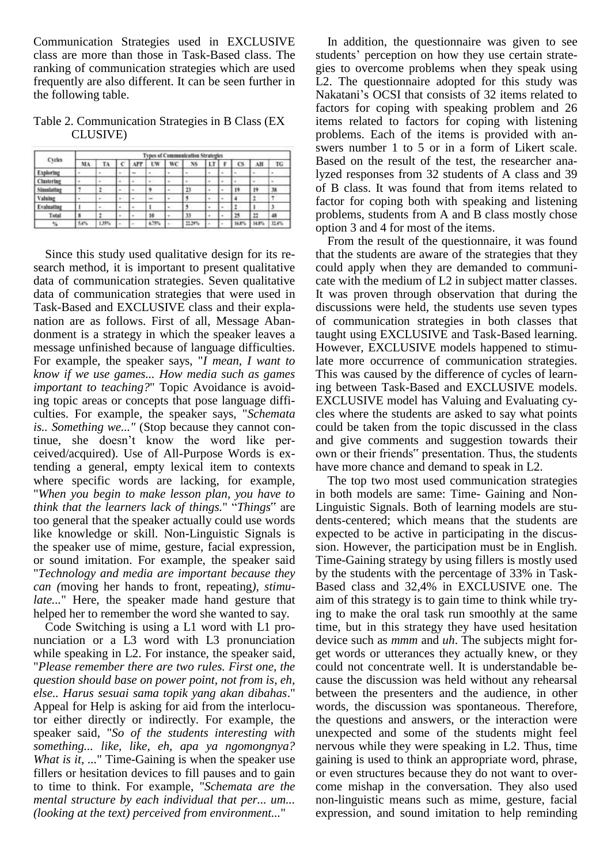Communication Strategies used in EXCLUSIVE class are more than those in Task-Based class. The ranking of communication strategies which are used frequently are also different. It can be seen further in the following table.

Table 2. Communication Strategies in B Class (EX CLUSIVE)

| Cycles           | <b>Types of Communication Strategies</b> |        |   |                |               |    |         |                |  |       |       |       |
|------------------|------------------------------------------|--------|---|----------------|---------------|----|---------|----------------|--|-------|-------|-------|
|                  | MA                                       | TА     |   | APP            | UW            | WC | NS.     | LT             |  | cs    | ٨Ħ    | TG    |
| <b>Exploring</b> |                                          | . .    | ۰ |                | $\sim$        |    |         | ۰              |  |       |       |       |
| Clustering       |                                          | a C    |   |                | in C          |    |         |                |  |       |       | ٠     |
| Simulating       |                                          | ı.     |   | $\overline{a}$ | ş             |    | $^{13}$ |                |  | 19    | 19    | 38    |
| Valuing          |                                          | $\sim$ | ٠ | $\sim$         | $\frac{1}{2}$ | ٠  |         | $\blacksquare$ |  |       |       |       |
| Evaluating       |                                          | ۰      |   | ٠              |               |    |         |                |  |       |       |       |
| Total            |                                          | ٠      |   | $\sim$         | 10            |    | y       |                |  | 25    | 22    | 48    |
| 1%               | 54%                                      | 138%   |   |                | 6.75%         |    | 12.29%  |                |  | 16.8% | 14.8% | 32.4% |

Since this study used qualitative design for its research method, it is important to present qualitative data of communication strategies. Seven qualitative data of communication strategies that were used in Task-Based and EXCLUSIVE class and their explanation are as follows. First of all, Message Abandonment is a strategy in which the speaker leaves a message unfinished because of language difficulties. For example, the speaker says, "*I mean, I want to know if we use games... How media such as games important to teaching?*" Topic Avoidance is avoiding topic areas or concepts that pose language difficulties. For example, the speaker says, "*Schemata is.. Something we..."* (Stop because they cannot continue, she doesn't know the word like perceived/acquired). Use of All-Purpose Words is extending a general, empty lexical item to contexts where specific words are lacking, for example, "*When you begin to make lesson plan, you have to think that the learners lack of things.*" "*Things*" are too general that the speaker actually could use words like knowledge or skill. Non-Linguistic Signals is the speaker use of mime, gesture, facial expression, or sound imitation. For example, the speaker said "*Technology and media are important because they can (*moving her hands to front, repeating*), stimulate...*" Here, the speaker made hand gesture that helped her to remember the word she wanted to say.

Code Switching is using a L1 word with L1 pronunciation or a L3 word with L3 pronunciation while speaking in L2. For instance, the speaker said, "*Please remember there are two rules. First one, the question should base on power point, not from is, eh, else.. Harus sesuai sama topik yang akan dibahas*." Appeal for Help is asking for aid from the interlocutor either directly or indirectly. For example, the speaker said, "*So of the students interesting with something... like, like, eh, apa ya ngomongnya? What is it, ...*" Time-Gaining is when the speaker use fillers or hesitation devices to fill pauses and to gain to time to think. For example, "*Schemata are the mental structure by each individual that per... um... (looking at the text) perceived from environment...*"

In addition, the questionnaire was given to see students' perception on how they use certain strategies to overcome problems when they speak using L2. The questionnaire adopted for this study was Nakatani's OCSI that consists of 32 items related to factors for coping with speaking problem and 26 items related to factors for coping with listening problems. Each of the items is provided with answers number 1 to 5 or in a form of Likert scale. Based on the result of the test, the researcher analyzed responses from 32 students of A class and 39 of B class. It was found that from items related to factor for coping both with speaking and listening problems, students from A and B class mostly chose option 3 and 4 for most of the items.

From the result of the questionnaire, it was found that the students are aware of the strategies that they could apply when they are demanded to communicate with the medium of L2 in subject matter classes. It was proven through observation that during the discussions were held, the students use seven types of communication strategies in both classes that taught using EXCLUSIVE and Task-Based learning. However, EXCLUSIVE models happened to stimulate more occurrence of communication strategies. This was caused by the difference of cycles of learning between Task-Based and EXCLUSIVE models. EXCLUSIVE model has Valuing and Evaluating cycles where the students are asked to say what points could be taken from the topic discussed in the class and give comments and suggestion towards their own or their friends" presentation. Thus, the students have more chance and demand to speak in L2.

The top two most used communication strategies in both models are same: Time- Gaining and Non-Linguistic Signals. Both of learning models are students-centered; which means that the students are expected to be active in participating in the discussion. However, the participation must be in English. Time-Gaining strategy by using fillers is mostly used by the students with the percentage of 33% in Task-Based class and 32,4% in EXCLUSIVE one. The aim of this strategy is to gain time to think while trying to make the oral task run smoothly at the same time, but in this strategy they have used hesitation device such as *mmm* and *uh*. The subjects might forget words or utterances they actually knew, or they could not concentrate well. It is understandable because the discussion was held without any rehearsal between the presenters and the audience, in other words, the discussion was spontaneous. Therefore, the questions and answers, or the interaction were unexpected and some of the students might feel nervous while they were speaking in L2. Thus, time gaining is used to think an appropriate word, phrase, or even structures because they do not want to overcome mishap in the conversation. They also used non-linguistic means such as mime, gesture, facial expression, and sound imitation to help reminding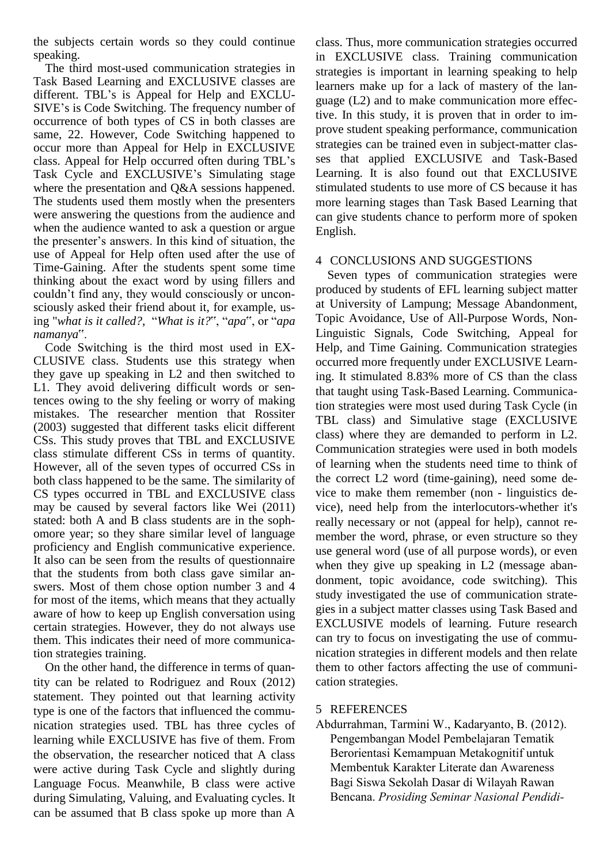the subjects certain words so they could continue speaking.

The third most-used communication strategies in Task Based Learning and EXCLUSIVE classes are different. TBL's is Appeal for Help and EXCLU-SIVE's is Code Switching. The frequency number of occurrence of both types of CS in both classes are same, 22. However, Code Switching happened to occur more than Appeal for Help in EXCLUSIVE class. Appeal for Help occurred often during TBL's Task Cycle and EXCLUSIVE's Simulating stage where the presentation and Q&A sessions happened. The students used them mostly when the presenters were answering the questions from the audience and when the audience wanted to ask a question or argue the presenter's answers. In this kind of situation, the use of Appeal for Help often used after the use of Time-Gaining. After the students spent some time thinking about the exact word by using fillers and couldn't find any, they would consciously or unconsciously asked their friend about it, for example, using "*what is it called?*, "*What is it?*", "*apa*", or "*apa namanya*".

Code Switching is the third most used in EX-CLUSIVE class. Students use this strategy when they gave up speaking in L2 and then switched to L1. They avoid delivering difficult words or sentences owing to the shy feeling or worry of making mistakes. The researcher mention that Rossiter (2003) suggested that different tasks elicit different CSs. This study proves that TBL and EXCLUSIVE class stimulate different CSs in terms of quantity. However, all of the seven types of occurred CSs in both class happened to be the same. The similarity of CS types occurred in TBL and EXCLUSIVE class may be caused by several factors like Wei (2011) stated: both A and B class students are in the sophomore year; so they share similar level of language proficiency and English communicative experience. It also can be seen from the results of questionnaire that the students from both class gave similar answers. Most of them chose option number 3 and 4 for most of the items, which means that they actually aware of how to keep up English conversation using certain strategies. However, they do not always use them. This indicates their need of more communication strategies training.

On the other hand, the difference in terms of quantity can be related to Rodriguez and Roux (2012) statement. They pointed out that learning activity type is one of the factors that influenced the communication strategies used. TBL has three cycles of learning while EXCLUSIVE has five of them. From the observation, the researcher noticed that A class were active during Task Cycle and slightly during Language Focus. Meanwhile, B class were active during Simulating, Valuing, and Evaluating cycles. It can be assumed that B class spoke up more than A

class. Thus, more communication strategies occurred in EXCLUSIVE class. Training communication strategies is important in learning speaking to help learners make up for a lack of mastery of the language (L2) and to make communication more effective. In this study, it is proven that in order to improve student speaking performance, communication strategies can be trained even in subject-matter classes that applied EXCLUSIVE and Task-Based Learning. It is also found out that EXCLUSIVE stimulated students to use more of CS because it has more learning stages than Task Based Learning that can give students chance to perform more of spoken English.

## 4 CONCLUSIONS AND SUGGESTIONS

Seven types of communication strategies were produced by students of EFL learning subject matter at University of Lampung; Message Abandonment, Topic Avoidance, Use of All-Purpose Words, Non-Linguistic Signals, Code Switching, Appeal for Help, and Time Gaining. Communication strategies occurred more frequently under EXCLUSIVE Learning. It stimulated 8.83% more of CS than the class that taught using Task-Based Learning. Communication strategies were most used during Task Cycle (in TBL class) and Simulative stage (EXCLUSIVE class) where they are demanded to perform in L2. Communication strategies were used in both models of learning when the students need time to think of the correct L2 word (time-gaining), need some device to make them remember (non - linguistics device), need help from the interlocutors-whether it's really necessary or not (appeal for help), cannot remember the word, phrase, or even structure so they use general word (use of all purpose words), or even when they give up speaking in L2 (message abandonment, topic avoidance, code switching). This study investigated the use of communication strategies in a subject matter classes using Task Based and EXCLUSIVE models of learning. Future research can try to focus on investigating the use of communication strategies in different models and then relate them to other factors affecting the use of communication strategies.

### 5 REFERENCES

Abdurrahman, Tarmini W., Kadaryanto, B. (2012). Pengembangan Model Pembelajaran Tematik Berorientasi Kemampuan Metakognitif untuk Membentuk Karakter Literate dan Awareness Bagi Siswa Sekolah Dasar di Wilayah Rawan Bencana. *Prosiding Seminar Nasional Pendidi-*